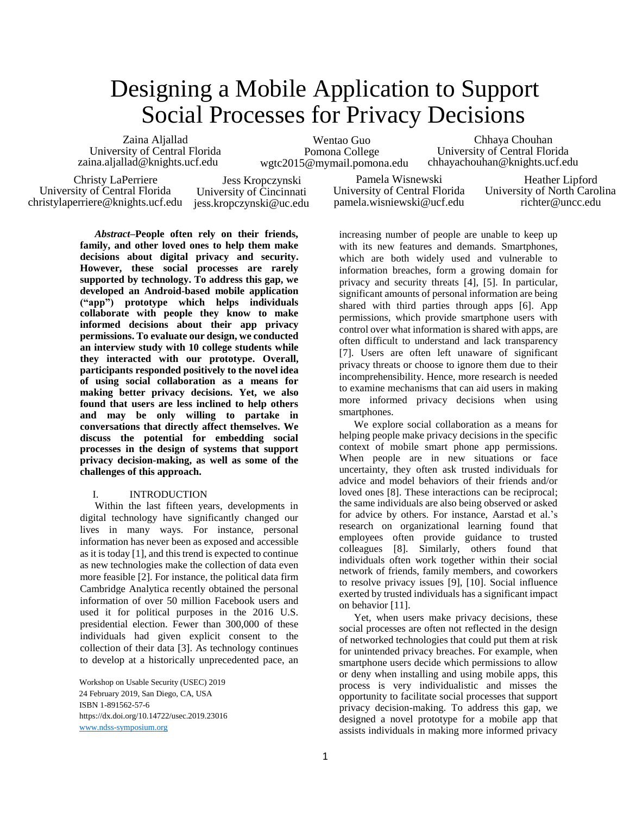# Designing a Mobile Application to Support Social Processes for Privacy Decisions

Zaina Aljallad University of Central Florida zaina.aljallad@knights.ucf.edu

Wentao Guo Pomona College wgtc2015@mymail.pomona.edu

Chhaya Chouhan University of Central Florida chhayachouhan@knights.ucf.edu

Christy LaPerriere University of Central Florida christylaperriere@knights.ucf.edu

Jess Kropczynski University of Cincinnati jess.kropczynski@uc.edu

Pamela Wisnewski University of Central Florida pamela.wisniewski@ucf.edu

Heather Lipford University of North Carolina richter@uncc.edu

*Abstract–***People often rely on their friends, family, and other loved ones to help them make decisions about digital privacy and security. However, these social processes are rarely supported by technology. To address this gap, we developed an Android-based mobile application ("app") prototype which helps individuals collaborate with people they know to make informed decisions about their app privacy permissions. To evaluate our design, we conducted an interview study with 10 college students while they interacted with our prototype. Overall, participants responded positively to the novel idea of using social collaboration as a means for making better privacy decisions. Yet, we also found that users are less inclined to help others and may be only willing to partake in conversations that directly affect themselves. We discuss the potential for embedding social processes in the design of systems that support privacy decision-making, as well as some of the challenges of this approach.**

# I. INTRODUCTION

Within the last fifteen years, developments in digital technology have significantly changed our lives in many ways. For instance, personal information has never been as exposed and accessible as it is today [1], and this trend is expected to continue as new technologies make the collection of data even more feasible [2]. For instance, the political data firm Cambridge Analytica recently obtained the personal information of over 50 million Facebook users and used it for political purposes in the 2016 U.S. presidential election. Fewer than 300,000 of these individuals had given explicit consent to the collection of their data [3]. As technology continues to develop at a historically unprecedented pace, an

Workshop on Usable Security (USEC) 2019 24 February 2019, San Diego, CA, USA ISBN 1-891562-57-6 https://dx.doi.org/10.14722/usec.2019.23016 [www.ndss-symposium.org](http://www.ndss-symposium.org/)

increasing number of people are unable to keep up with its new features and demands. Smartphones, which are both widely used and vulnerable to information breaches, form a growing domain for privacy and security threats [4], [5]. In particular, significant amounts of personal information are being shared with third parties through apps [6]. App permissions, which provide smartphone users with control over what information is shared with apps, are often difficult to understand and lack transparency [7]. Users are often left unaware of significant privacy threats or choose to ignore them due to their incomprehensibility. Hence, more research is needed to examine mechanisms that can aid users in making more informed privacy decisions when using smartphones.

We explore social collaboration as a means for helping people make privacy decisions in the specific context of mobile smart phone app permissions. When people are in new situations or face uncertainty, they often ask trusted individuals for advice and model behaviors of their friends and/or loved ones [8]. These interactions can be reciprocal; the same individuals are also being observed or asked for advice by others. For instance, Aarstad et al.'s research on organizational learning found that employees often provide guidance to trusted colleagues [8]. Similarly, others found that individuals often work together within their social network of friends, family members, and coworkers to resolve privacy issues [9], [10]. Social influence exerted by trusted individuals has a significant impact on behavior [11].

Yet, when users make privacy decisions, these social processes are often not reflected in the design of networked technologies that could put them at risk for unintended privacy breaches. For example, when smartphone users decide which permissions to allow or deny when installing and using mobile apps, this process is very individualistic and misses the opportunity to facilitate social processes that support privacy decision-making. To address this gap, we designed a novel prototype for a mobile app that assists individuals in making more informed privacy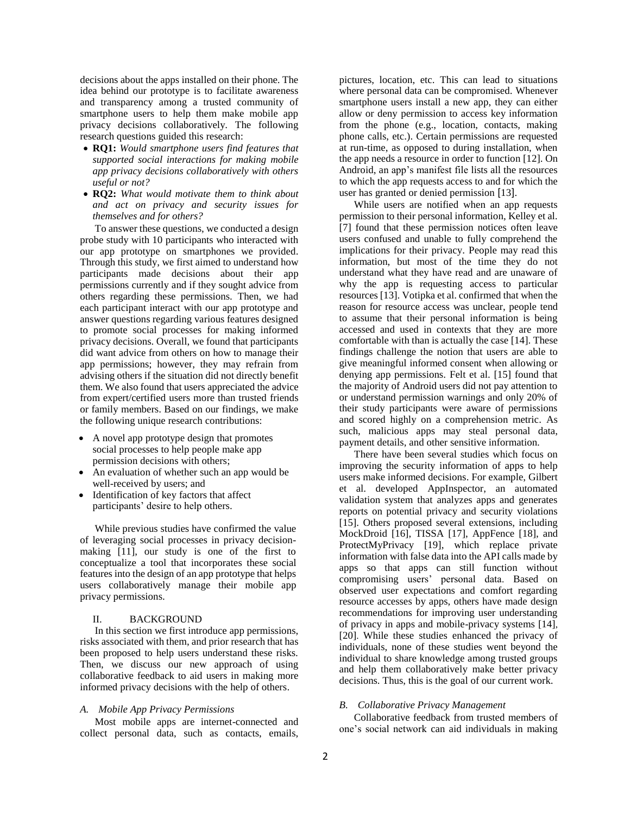decisions about the apps installed on their phone. The idea behind our prototype is to facilitate awareness and transparency among a trusted community of smartphone users to help them make mobile app privacy decisions collaboratively. The following research questions guided this research:

- **RQ1:** *Would smartphone users find features that supported social interactions for making mobile app privacy decisions collaboratively with others useful or not?*
- **RQ2:** *What would motivate them to think about and act on privacy and security issues for themselves and for others?*

To answer these questions, we conducted a design probe study with 10 participants who interacted with our app prototype on smartphones we provided. Through this study, we first aimed to understand how participants made decisions about their app permissions currently and if they sought advice from others regarding these permissions. Then, we had each participant interact with our app prototype and answer questions regarding various features designed to promote social processes for making informed privacy decisions. Overall, we found that participants did want advice from others on how to manage their app permissions; however, they may refrain from advising others if the situation did not directly benefit them. We also found that users appreciated the advice from expert/certified users more than trusted friends or family members. Based on our findings, we make the following unique research contributions:

- A novel app prototype design that promotes social processes to help people make app permission decisions with others;
- An evaluation of whether such an app would be well-received by users; and
- Identification of key factors that affect participants' desire to help others.

While previous studies have confirmed the value of leveraging social processes in privacy decisionmaking [11], our study is one of the first to conceptualize a tool that incorporates these social features into the design of an app prototype that helps users collaboratively manage their mobile app privacy permissions.

# II. BACKGROUND

In this section we first introduce app permissions, risks associated with them, and prior research that has been proposed to help users understand these risks. Then, we discuss our new approach of using collaborative feedback to aid users in making more informed privacy decisions with the help of others.

#### *A. Mobile App Privacy Permissions*

Most mobile apps are internet-connected and collect personal data, such as contacts, emails,

pictures, location, etc. This can lead to situations where personal data can be compromised. Whenever smartphone users install a new app, they can either allow or deny permission to access key information from the phone (e.g., location, contacts, making phone calls, etc.). Certain permissions are requested at run-time, as opposed to during installation, when the app needs a resource in order to function [12]. On Android, an app's manifest file lists all the resources to which the app requests access to and for which the user has granted or denied permission [13].

While users are notified when an app requests permission to their personal information, Kelley et al. [7] found that these permission notices often leave users confused and unable to fully comprehend the implications for their privacy. People may read this information, but most of the time they do not understand what they have read and are unaware of why the app is requesting access to particular resources [13]. Votipka et al. confirmed that when the reason for resource access was unclear, people tend to assume that their personal information is being accessed and used in contexts that they are more comfortable with than is actually the case [14]. These findings challenge the notion that users are able to give meaningful informed consent when allowing or denying app permissions. Felt et al. [15] found that the majority of Android users did not pay attention to or understand permission warnings and only 20% of their study participants were aware of permissions and scored highly on a comprehension metric. As such, malicious apps may steal personal data, payment details, and other sensitive information.

There have been several studies which focus on improving the security information of apps to help users make informed decisions. For example, Gilbert et al. developed AppInspector, an automated validation system that analyzes apps and generates reports on potential privacy and security violations [15]. Others proposed several extensions, including MockDroid [16], TISSA [17], AppFence [18], and ProtectMyPrivacy [19], which replace private information with false data into the API calls made by apps so that apps can still function without compromising users' personal data. Based on observed user expectations and comfort regarding resource accesses by apps, others have made design recommendations for improving user understanding of privacy in apps and mobile-privacy systems [14], [20]. While these studies enhanced the privacy of individuals, none of these studies went beyond the individual to share knowledge among trusted groups and help them collaboratively make better privacy decisions. Thus, this is the goal of our current work.

## *B. Collaborative Privacy Management*

Collaborative feedback from trusted members of one's social network can aid individuals in making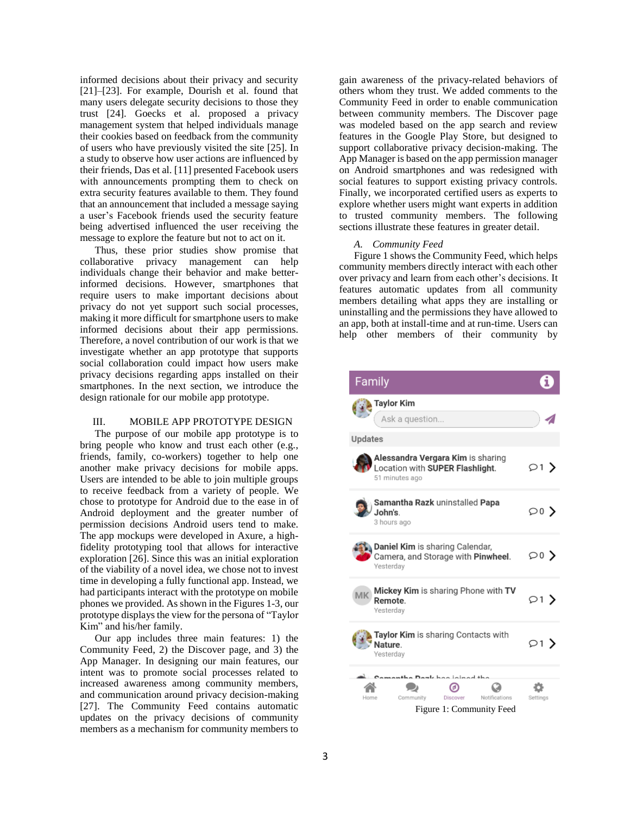informed decisions about their privacy and security [21]–[23]. For example, Dourish et al. found that many users delegate security decisions to those they trust [24]. Goecks et al. proposed a privacy management system that helped individuals manage their cookies based on feedback from the community of users who have previously visited the site [25]. In a study to observe how user actions are influenced by their friends, Das et al. [11] presented Facebook users with announcements prompting them to check on extra security features available to them. They found that an announcement that included a message saying a user's Facebook friends used the security feature being advertised influenced the user receiving the message to explore the feature but not to act on it.

Thus, these prior studies show promise that collaborative privacy management can help individuals change their behavior and make betterinformed decisions. However, smartphones that require users to make important decisions about privacy do not yet support such social processes, making it more difficult for smartphone users to make informed decisions about their app permissions. Therefore, a novel contribution of our work is that we investigate whether an app prototype that supports social collaboration could impact how users make privacy decisions regarding apps installed on their smartphones. In the next section, we introduce the design rationale for our mobile app prototype.

# III. MOBILE APP PROTOTYPE DESIGN

The purpose of our mobile app prototype is to bring people who know and trust each other (e.g., friends, family, co-workers) together to help one another make privacy decisions for mobile apps. Users are intended to be able to join multiple groups to receive feedback from a variety of people. We chose to prototype for Android due to the ease in of Android deployment and the greater number of permission decisions Android users tend to make. The app mockups were developed in Axure, a highfidelity prototyping tool that allows for interactive exploration [26]. Since this was an initial exploration of the viability of a novel idea, we chose not to invest time in developing a fully functional app. Instead, we had participants interact with the prototype on mobile phones we provided. As shown in the Figures 1-3, our prototype displays the view for the persona of "Taylor Kim" and his/her family.

Our app includes three main features: 1) the Community Feed, 2) the Discover page, and 3) the App Manager. In designing our main features, our intent was to promote social processes related to increased awareness among community members, and communication around privacy decision-making [27]. The Community Feed contains automatic updates on the privacy decisions of community members as a mechanism for community members to

gain awareness of the privacy-related behaviors of others whom they trust. We added comments to the Community Feed in order to enable communication between community members. The Discover page was modeled based on the app search and review features in the Google Play Store, but designed to support collaborative privacy decision-making. The App Manager is based on the app permission manager on Android smartphones and was redesigned with social features to support existing privacy controls. Finally, we incorporated certified users as experts to explore whether users might want experts in addition to trusted community members. The following sections illustrate these features in greater detail.

#### *A. Community Feed*

Figure 1 shows the Community Feed, which helps community members directly interact with each other over privacy and learn from each other's decisions. It features automatic updates from all community members detailing what apps they are installing or uninstalling and the permissions they have allowed to an app, both at install-time and at run-time. Users can help other members of their community by

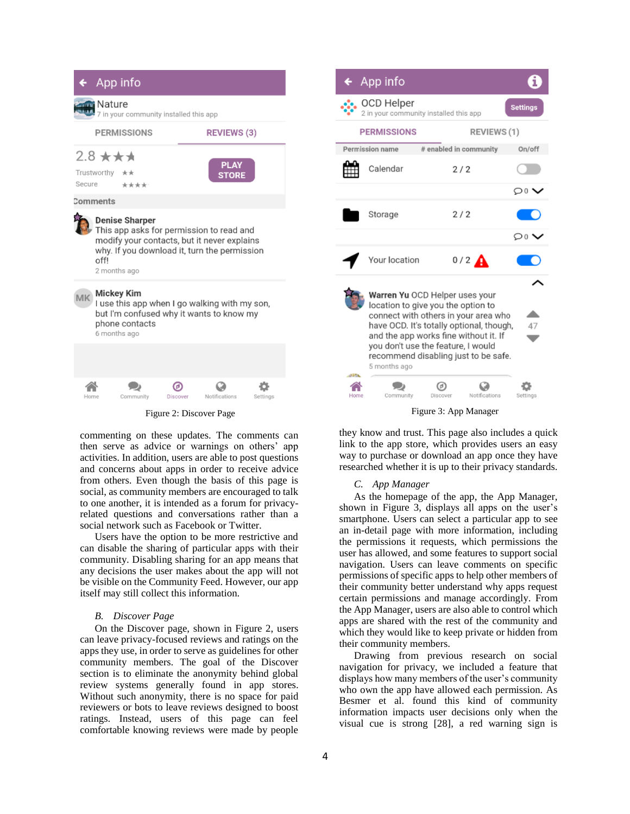| App info                                                                                                                                                                                 |           |               |                             |          |  |  |
|------------------------------------------------------------------------------------------------------------------------------------------------------------------------------------------|-----------|---------------|-----------------------------|----------|--|--|
| Nature<br>7 in your community installed this app                                                                                                                                         |           |               |                             |          |  |  |
| <b>PERMISSIONS</b>                                                                                                                                                                       |           |               | <b>REVIEWS (3)</b>          |          |  |  |
| $2.8 \star \star \star$<br>Trustworthy $\star\star$<br>Secure<br>****                                                                                                                    |           |               | <b>PLAY</b><br><b>STORE</b> |          |  |  |
| Comments                                                                                                                                                                                 |           |               |                             |          |  |  |
| <b>Denise Sharper</b><br>This app asks for permission to read and<br>modify your contacts, but it never explains<br>why. If you download it, turn the permission<br>offl<br>2 months ago |           |               |                             |          |  |  |
| $MK$ Mickey Kim<br>I use this app when I go walking with my son,<br>but I'm confused why it wants to know my<br>phone contacts<br>6 months ago                                           |           |               |                             |          |  |  |
|                                                                                                                                                                                          |           |               |                             |          |  |  |
| Home                                                                                                                                                                                     | Community | Θ<br>Discover | Notifications               | Settings |  |  |
| $\Gamma$ and $\Lambda$ . Discover $D$                                                                                                                                                    |           |               |                             |          |  |  |

commenting on these updates. The comments can then serve as advice or warnings on others' app activities. In addition, users are able to post questions and concerns about apps in order to receive advice from others. Even though the basis of this page is social, as community members are encouraged to talk to one another, it is intended as a forum for privacyrelated questions and conversations rather than a social network such as Facebook or Twitter.

Users have the option to be more restrictive and can disable the sharing of particular apps with their community. Disabling sharing for an app means that any decisions the user makes about the app will not be visible on the Community Feed. However, our app itself may still collect this information.

# *B. Discover Page*

On the Discover page, shown in Figure 2, users can leave privacy-focused reviews and ratings on the apps they use, in order to serve as guidelines for other community members. The goal of the Discover section is to eliminate the anonymity behind global review systems generally found in app stores. Without such anonymity, there is no space for paid reviewers or bots to leave reviews designed to boost ratings. Instead, users of this page can feel comfortable knowing reviews were made by people



they know and trust. This page also includes a quick link to the app store, which provides users an easy way to purchase or download an app once they have researched whether it is up to their privacy standards.

#### *C. App Manager*

As the homepage of the app, the App Manager, shown in Figure 3, displays all apps on the user's smartphone. Users can select a particular app to see an in-detail page with more information, including the permissions it requests, which permissions the user has allowed, and some features to support social navigation. Users can leave comments on specific permissions of specific apps to help other members of their community better understand why apps request certain permissions and manage accordingly. From the App Manager, users are also able to control which apps are shared with the rest of the community and which they would like to keep private or hidden from their community members.

Drawing from previous research on social navigation for privacy, we included a feature that displays how many members of the user's community who own the app have allowed each permission. As Besmer et al. found this kind of community information impacts user decisions only when the visual cue is strong [28], a red warning sign is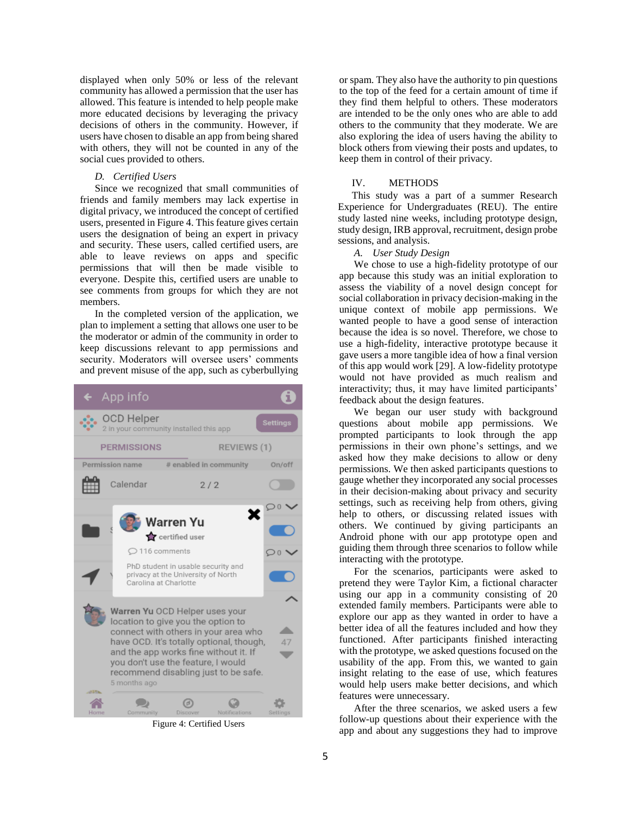displayed when only 50% or less of the relevant community has allowed a permission that the user has allowed. This feature is intended to help people make more educated decisions by leveraging the privacy decisions of others in the community. However, if users have chosen to disable an app from being shared with others, they will not be counted in any of the social cues provided to others.

## *D. Certified Users*

Since we recognized that small communities of friends and family members may lack expertise in digital privacy, we introduced the concept of certified users, presented in Figure 4. This feature gives certain users the designation of being an expert in privacy and security. These users, called certified users, are able to leave reviews on apps and specific permissions that will then be made visible to everyone. Despite this, certified users are unable to see comments from groups for which they are not members.

In the completed version of the application, we plan to implement a setting that allows one user to be the moderator or admin of the community in order to keep discussions relevant to app permissions and security. Moderators will oversee users' comments and prevent misuse of the app, such as cyberbullying



Figure 4: Certified Users

or spam. They also have the authority to pin questions to the top of the feed for a certain amount of time if they find them helpful to others. These moderators are intended to be the only ones who are able to add others to the community that they moderate. We are also exploring the idea of users having the ability to block others from viewing their posts and updates, to keep them in control of their privacy.

# IV. METHODS

This study was a part of a summer Research Experience for Undergraduates (REU). The entire study lasted nine weeks, including prototype design, study design, IRB approval, recruitment, design probe sessions, and analysis.

*A. User Study Design*

We chose to use a high-fidelity prototype of our app because this study was an initial exploration to assess the viability of a novel design concept for social collaboration in privacy decision-making in the unique context of mobile app permissions. We wanted people to have a good sense of interaction because the idea is so novel. Therefore, we chose to use a high-fidelity, interactive prototype because it gave users a more tangible idea of how a final version of this app would work [29]. A low-fidelity prototype would not have provided as much realism and interactivity; thus, it may have limited participants' feedback about the design features.

We began our user study with background questions about mobile app permissions. We prompted participants to look through the app permissions in their own phone's settings, and we asked how they make decisions to allow or deny permissions. We then asked participants questions to gauge whether they incorporated any social processes in their decision-making about privacy and security settings, such as receiving help from others, giving help to others, or discussing related issues with others. We continued by giving participants an Android phone with our app prototype open and guiding them through three scenarios to follow while interacting with the prototype.

For the scenarios, participants were asked to pretend they were Taylor Kim, a fictional character using our app in a community consisting of 20 extended family members. Participants were able to explore our app as they wanted in order to have a better idea of all the features included and how they functioned. After participants finished interacting with the prototype, we asked questions focused on the usability of the app. From this, we wanted to gain insight relating to the ease of use, which features would help users make better decisions, and which features were unnecessary.

After the three scenarios, we asked users a few follow-up questions about their experience with the app and about any suggestions they had to improve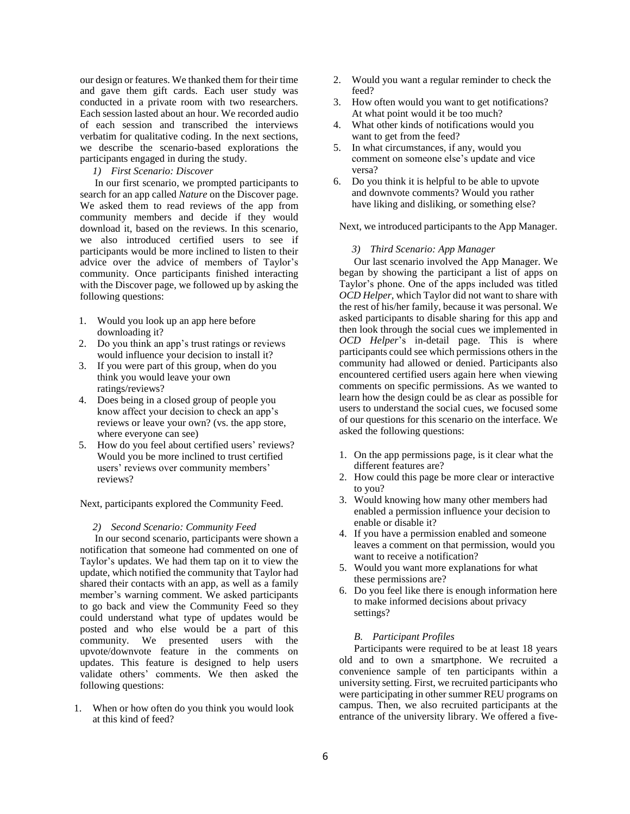our design or features. We thanked them for their time and gave them gift cards. Each user study was conducted in a private room with two researchers. Each session lasted about an hour. We recorded audio of each session and transcribed the interviews verbatim for qualitative coding. In the next sections, we describe the scenario-based explorations the participants engaged in during the study.

# *1) First Scenario: Discover*

In our first scenario, we prompted participants to search for an app called *Nature* on the Discover page. We asked them to read reviews of the app from community members and decide if they would download it, based on the reviews. In this scenario, we also introduced certified users to see if participants would be more inclined to listen to their advice over the advice of members of Taylor's community. Once participants finished interacting with the Discover page, we followed up by asking the following questions:

- 1. Would you look up an app here before downloading it?
- 2. Do you think an app's trust ratings or reviews would influence your decision to install it?
- 3. If you were part of this group, when do you think you would leave your own ratings/reviews?
- 4. Does being in a closed group of people you know affect your decision to check an app's reviews or leave your own? (vs. the app store, where everyone can see)
- 5. How do you feel about certified users' reviews? Would you be more inclined to trust certified users' reviews over community members' reviews?

Next, participants explored the Community Feed.

#### *2) Second Scenario: Community Feed*

In our second scenario, participants were shown a notification that someone had commented on one of Taylor's updates. We had them tap on it to view the update, which notified the community that Taylor had shared their contacts with an app, as well as a family member's warning comment. We asked participants to go back and view the Community Feed so they could understand what type of updates would be posted and who else would be a part of this community. We presented users with the upvote/downvote feature in the comments on updates. This feature is designed to help users validate others' comments. We then asked the following questions:

1. When or how often do you think you would look at this kind of feed?

- 2. Would you want a regular reminder to check the feed?
- 3. How often would you want to get notifications? At what point would it be too much?
- 4. What other kinds of notifications would you want to get from the feed?
- 5. In what circumstances, if any, would you comment on someone else's update and vice versa?
- 6. Do you think it is helpful to be able to upvote and downvote comments? Would you rather have liking and disliking, or something else?

Next, we introduced participants to the App Manager.

#### *3) Third Scenario: App Manager*

Our last scenario involved the App Manager. We began by showing the participant a list of apps on Taylor's phone. One of the apps included was titled *OCD Helper*, which Taylor did not want to share with the rest of his/her family, because it was personal. We asked participants to disable sharing for this app and then look through the social cues we implemented in *OCD Helper*'s in-detail page. This is where participants could see which permissions others in the community had allowed or denied. Participants also encountered certified users again here when viewing comments on specific permissions. As we wanted to learn how the design could be as clear as possible for users to understand the social cues, we focused some of our questions for this scenario on the interface. We asked the following questions:

- 1. On the app permissions page, is it clear what the different features are?
- 2. How could this page be more clear or interactive to you?
- 3. Would knowing how many other members had enabled a permission influence your decision to enable or disable it?
- 4. If you have a permission enabled and someone leaves a comment on that permission, would you want to receive a notification?
- 5. Would you want more explanations for what these permissions are?
- 6. Do you feel like there is enough information here to make informed decisions about privacy settings?

#### *B. Participant Profiles*

Participants were required to be at least 18 years old and to own a smartphone. We recruited a convenience sample of ten participants within a university setting. First, we recruited participants who were participating in other summer REU programs on campus. Then, we also recruited participants at the entrance of the university library. We offered a five-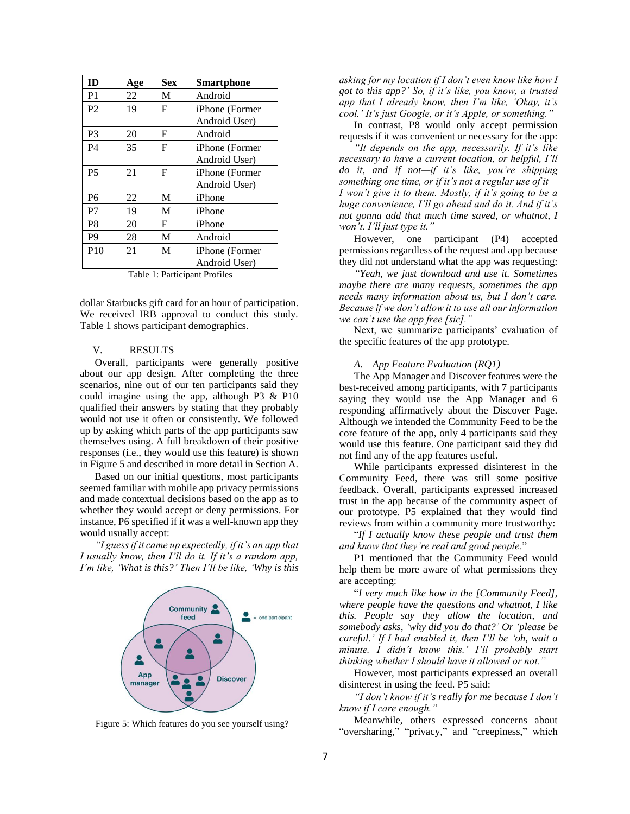| ID             | Age | <b>Sex</b> | <b>Smartphone</b> |
|----------------|-----|------------|-------------------|
| P <sub>1</sub> | 22  | M          | Android           |
| P <sub>2</sub> | 19  | F          | iPhone (Former    |
|                |     |            | Android User)     |
| P <sub>3</sub> | 20  | F          | Android           |
| <b>P4</b>      | 35  | F          | iPhone (Former    |
|                |     |            | Android User)     |
| <b>P5</b>      | 21  | F          | iPhone (Former    |
|                |     |            | Android User)     |
| P <sub>6</sub> | 22  | M          | iPhone            |
| P7             | 19  | M          | iPhone            |
| P <sub>8</sub> | 20  | F          | iPhone            |
| P <sub>9</sub> | 28  | M          | Android           |
| P10            | 21  | M          | iPhone (Former    |
|                |     |            | Android User)     |

Table 1: Participant Profiles

dollar Starbucks gift card for an hour of participation. We received IRB approval to conduct this study. Table 1 shows participant demographics.

# V. RESULTS

Overall, participants were generally positive about our app design. After completing the three scenarios, nine out of our ten participants said they could imagine using the app, although P3 & P10 qualified their answers by stating that they probably would not use it often or consistently. We followed up by asking which parts of the app participants saw themselves using. A full breakdown of their positive responses (i.e., they would use this feature) is shown in Figure 5 and described in more detail in Section A.

Based on our initial questions, most participants seemed familiar with mobile app privacy permissions and made contextual decisions based on the app as to whether they would accept or deny permissions. For instance, P6 specified if it was a well-known app they would usually accept:

*"I guess if it came up expectedly, if it's an app that I usually know, then I'll do it. If it's a random app, I'm like, 'What is this?' Then I'll be like, 'Why is this* 



Figure 5: Which features do you see yourself using?

*asking for my location if I don't even know like how I got to this app?' So, if it's like, you know, a trusted app that I already know, then I'm like, 'Okay, it's cool.' It's just Google, or it's Apple, or something."*

In contrast, P8 would only accept permission requests if it was convenient or necessary for the app:

*"It depends on the app, necessarily. If it's like necessary to have a current location, or helpful, I'll do it, and if not—if it's like, you're shipping something one time, or if it's not a regular use of it— I won't give it to them. Mostly, if it's going to be a huge convenience, I'll go ahead and do it. And if it's not gonna add that much time saved, or whatnot, I won't. I'll just type it."*

However, one participant (P4) accepted permissions regardless of the request and app because they did not understand what the app was requesting:

*"Yeah, we just download and use it. Sometimes maybe there are many requests, sometimes the app needs many information about us, but I don't care. Because if we don't allow it to use all our information we can't use the app free [sic]."*

Next, we summarize participants' evaluation of the specific features of the app prototype.

#### *A. App Feature Evaluation (RQ1)*

The App Manager and Discover features were the best-received among participants, with 7 participants saying they would use the App Manager and 6 responding affirmatively about the Discover Page. Although we intended the Community Feed to be the core feature of the app, only 4 participants said they would use this feature. One participant said they did not find any of the app features useful.

While participants expressed disinterest in the Community Feed, there was still some positive feedback. Overall, participants expressed increased trust in the app because of the community aspect of our prototype. P5 explained that they would find reviews from within a community more trustworthy:

"*If I actually know these people and trust them and know that they're real and good people*."

P1 mentioned that the Community Feed would help them be more aware of what permissions they are accepting:

"*I very much like how in the [Community Feed], where people have the questions and whatnot, I like this. People say they allow the location, and somebody asks, 'why did you do that?' Or 'please be careful.' If I had enabled it, then I'll be 'oh, wait a minute. I didn't know this.' I'll probably start thinking whether I should have it allowed or not."*

However, most participants expressed an overall disinterest in using the feed. P5 said:

*"I don't know if it's really for me because I don't know if I care enough."*

Meanwhile, others expressed concerns about "oversharing," "privacy," and "creepiness," which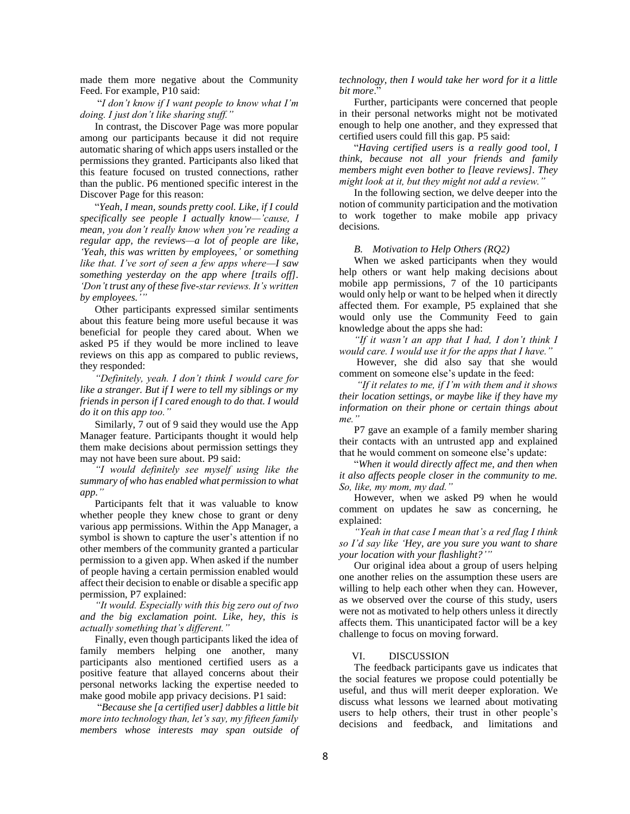made them more negative about the Community Feed. For example, P10 said:

"*I don't know if I want people to know what I'm doing. I just don't like sharing stuff."*

In contrast, the Discover Page was more popular among our participants because it did not require automatic sharing of which apps users installed or the permissions they granted. Participants also liked that this feature focused on trusted connections, rather than the public. P6 mentioned specific interest in the Discover Page for this reason:

"*Yeah, I mean, sounds pretty cool. Like, if I could specifically see people I actually know—'cause, I mean, you don't really know when you're reading a regular app, the reviews—a lot of people are like, 'Yeah, this was written by employees,' or something like that. I've sort of seen a few apps where—I saw something yesterday on the app where [trails off]. 'Don't trust any of these five-star reviews. It's written by employees.'"*

Other participants expressed similar sentiments about this feature being more useful because it was beneficial for people they cared about. When we asked P5 if they would be more inclined to leave reviews on this app as compared to public reviews, they responded:

*"Definitely, yeah. I don't think I would care for like a stranger. But if I were to tell my siblings or my friends in person if I cared enough to do that. I would do it on this app too."*

Similarly, 7 out of 9 said they would use the App Manager feature. Participants thought it would help them make decisions about permission settings they may not have been sure about. P9 said:

*"I would definitely see myself using like the summary of who has enabled what permission to what app."*

Participants felt that it was valuable to know whether people they knew chose to grant or deny various app permissions. Within the App Manager, a symbol is shown to capture the user's attention if no other members of the community granted a particular permission to a given app. When asked if the number of people having a certain permission enabled would affect their decision to enable or disable a specific app permission, P7 explained:

*"It would. Especially with this big zero out of two and the big exclamation point. Like, hey, this is actually something that's different."*

Finally, even though participants liked the idea of family members helping one another, many participants also mentioned certified users as a positive feature that allayed concerns about their personal networks lacking the expertise needed to make good mobile app privacy decisions. P1 said:

"*Because she [a certified user] dabbles a little bit more into technology than, let's say, my fifteen family members whose interests may span outside of*  *technology, then I would take her word for it a little bit more*."

Further, participants were concerned that people in their personal networks might not be motivated enough to help one another, and they expressed that certified users could fill this gap. P5 said:

"*Having certified users is a really good tool, I think, because not all your friends and family members might even bother to [leave reviews]. They might look at it, but they might not add a review."*

In the following section, we delve deeper into the notion of community participation and the motivation to work together to make mobile app privacy decisions*.*

#### *B. Motivation to Help Others (RQ2)*

When we asked participants when they would help others or want help making decisions about mobile app permissions, 7 of the 10 participants would only help or want to be helped when it directly affected them. For example, P5 explained that she would only use the Community Feed to gain knowledge about the apps she had:

*"If it wasn't an app that I had, I don't think I would care. I would use it for the apps that I have."*

However, she did also say that she would comment on someone else's update in the feed:

*"If it relates to me, if I'm with them and it shows their location settings, or maybe like if they have my information on their phone or certain things about me."*

P7 gave an example of a family member sharing their contacts with an untrusted app and explained that he would comment on someone else's update:

"*When it would directly affect me, and then when it also affects people closer in the community to me. So, like, my mom, my dad."*

However, when we asked P9 when he would comment on updates he saw as concerning, he explained:

*"Yeah in that case I mean that's a red flag I think so I'd say like 'Hey, are you sure you want to share your location with your flashlight?'"*

Our original idea about a group of users helping one another relies on the assumption these users are willing to help each other when they can. However, as we observed over the course of this study, users were not as motivated to help others unless it directly affects them. This unanticipated factor will be a key challenge to focus on moving forward.

# VI. DISCUSSION

The feedback participants gave us indicates that the social features we propose could potentially be useful, and thus will merit deeper exploration. We discuss what lessons we learned about motivating users to help others, their trust in other people's decisions and feedback, and limitations and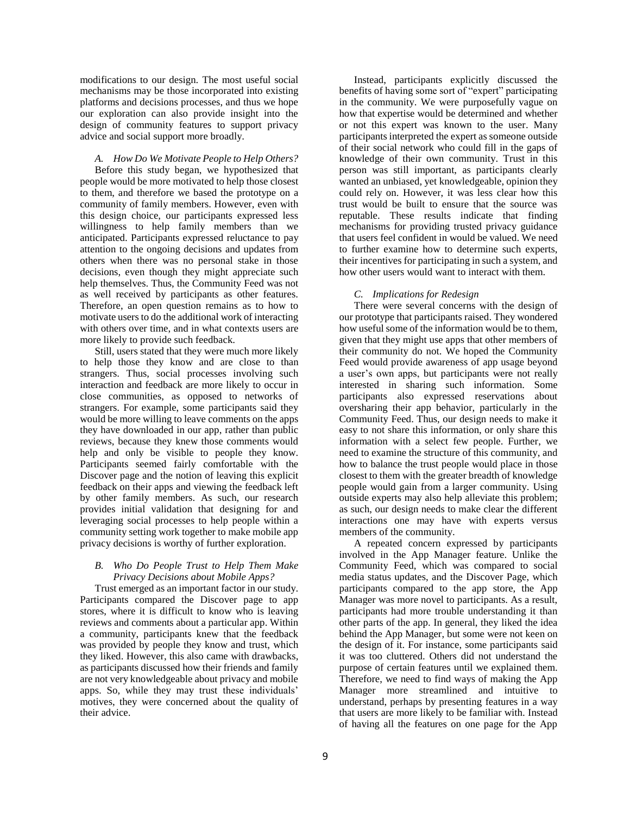modifications to our design. The most useful social mechanisms may be those incorporated into existing platforms and decisions processes, and thus we hope our exploration can also provide insight into the design of community features to support privacy advice and social support more broadly.

# *A. How Do We Motivate People to Help Others?*

Before this study began, we hypothesized that people would be more motivated to help those closest to them, and therefore we based the prototype on a community of family members. However, even with this design choice, our participants expressed less willingness to help family members than we anticipated. Participants expressed reluctance to pay attention to the ongoing decisions and updates from others when there was no personal stake in those decisions, even though they might appreciate such help themselves. Thus, the Community Feed was not as well received by participants as other features. Therefore, an open question remains as to how to motivate users to do the additional work of interacting with others over time, and in what contexts users are more likely to provide such feedback.

Still, users stated that they were much more likely to help those they know and are close to than strangers. Thus, social processes involving such interaction and feedback are more likely to occur in close communities, as opposed to networks of strangers. For example, some participants said they would be more willing to leave comments on the apps they have downloaded in our app, rather than public reviews, because they knew those comments would help and only be visible to people they know. Participants seemed fairly comfortable with the Discover page and the notion of leaving this explicit feedback on their apps and viewing the feedback left by other family members. As such, our research provides initial validation that designing for and leveraging social processes to help people within a community setting work together to make mobile app privacy decisions is worthy of further exploration.

# *B. Who Do People Trust to Help Them Make Privacy Decisions about Mobile Apps?*

Trust emerged as an important factor in our study. Participants compared the Discover page to app stores, where it is difficult to know who is leaving reviews and comments about a particular app. Within a community, participants knew that the feedback was provided by people they know and trust, which they liked. However, this also came with drawbacks, as participants discussed how their friends and family are not very knowledgeable about privacy and mobile apps. So, while they may trust these individuals' motives, they were concerned about the quality of their advice.

Instead, participants explicitly discussed the benefits of having some sort of "expert" participating in the community. We were purposefully vague on how that expertise would be determined and whether or not this expert was known to the user. Many participants interpreted the expert as someone outside of their social network who could fill in the gaps of knowledge of their own community. Trust in this person was still important, as participants clearly wanted an unbiased, yet knowledgeable, opinion they could rely on. However, it was less clear how this trust would be built to ensure that the source was reputable. These results indicate that finding mechanisms for providing trusted privacy guidance that users feel confident in would be valued. We need to further examine how to determine such experts, their incentives for participating in such a system, and how other users would want to interact with them.

# *C. Implications for Redesign*

There were several concerns with the design of our prototype that participants raised. They wondered how useful some of the information would be to them, given that they might use apps that other members of their community do not. We hoped the Community Feed would provide awareness of app usage beyond a user's own apps, but participants were not really interested in sharing such information. Some participants also expressed reservations about oversharing their app behavior, particularly in the Community Feed. Thus, our design needs to make it easy to not share this information, or only share this information with a select few people. Further, we need to examine the structure of this community, and how to balance the trust people would place in those closest to them with the greater breadth of knowledge people would gain from a larger community. Using outside experts may also help alleviate this problem; as such, our design needs to make clear the different interactions one may have with experts versus members of the community.

A repeated concern expressed by participants involved in the App Manager feature. Unlike the Community Feed, which was compared to social media status updates, and the Discover Page, which participants compared to the app store, the App Manager was more novel to participants. As a result, participants had more trouble understanding it than other parts of the app. In general, they liked the idea behind the App Manager, but some were not keen on the design of it. For instance, some participants said it was too cluttered. Others did not understand the purpose of certain features until we explained them. Therefore, we need to find ways of making the App Manager more streamlined and intuitive to understand, perhaps by presenting features in a way that users are more likely to be familiar with. Instead of having all the features on one page for the App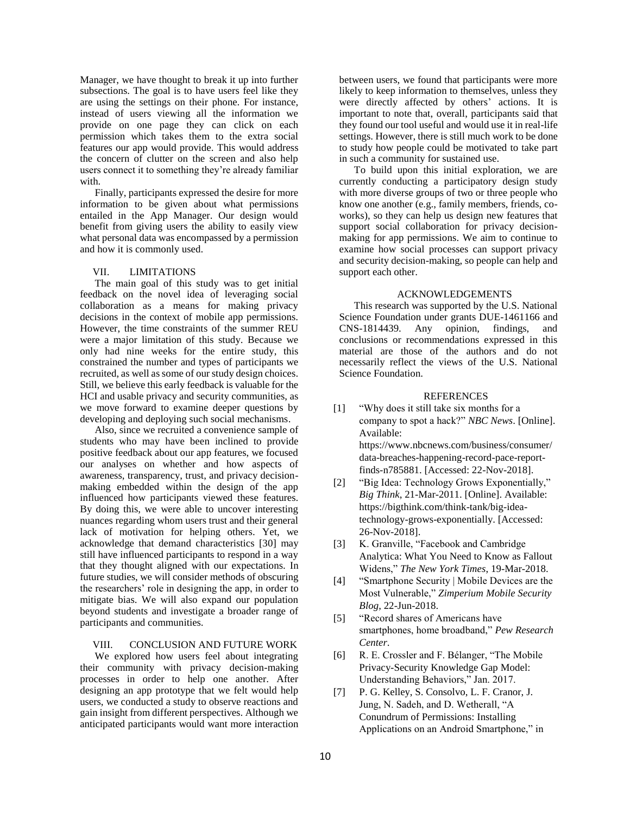Manager, we have thought to break it up into further subsections. The goal is to have users feel like they are using the settings on their phone. For instance, instead of users viewing all the information we provide on one page they can click on each permission which takes them to the extra social features our app would provide. This would address the concern of clutter on the screen and also help users connect it to something they're already familiar with.

Finally, participants expressed the desire for more information to be given about what permissions entailed in the App Manager. Our design would benefit from giving users the ability to easily view what personal data was encompassed by a permission and how it is commonly used.

## VII. LIMITATIONS

The main goal of this study was to get initial feedback on the novel idea of leveraging social collaboration as a means for making privacy decisions in the context of mobile app permissions. However, the time constraints of the summer REU were a major limitation of this study. Because we only had nine weeks for the entire study, this constrained the number and types of participants we recruited, as well as some of our study design choices. Still, we believe this early feedback is valuable for the HCI and usable privacy and security communities, as we move forward to examine deeper questions by developing and deploying such social mechanisms.

Also, since we recruited a convenience sample of students who may have been inclined to provide positive feedback about our app features, we focused our analyses on whether and how aspects of awareness, transparency, trust, and privacy decisionmaking embedded within the design of the app influenced how participants viewed these features. By doing this, we were able to uncover interesting nuances regarding whom users trust and their general lack of motivation for helping others. Yet, we acknowledge that demand characteristics [30] may still have influenced participants to respond in a way that they thought aligned with our expectations. In future studies, we will consider methods of obscuring the researchers' role in designing the app, in order to mitigate bias. We will also expand our population beyond students and investigate a broader range of participants and communities.

# VIII. CONCLUSION AND FUTURE WORK

We explored how users feel about integrating their community with privacy decision-making processes in order to help one another. After designing an app prototype that we felt would help users, we conducted a study to observe reactions and gain insight from different perspectives. Although we anticipated participants would want more interaction

between users, we found that participants were more likely to keep information to themselves, unless they were directly affected by others' actions. It is important to note that, overall, participants said that they found our tool useful and would use it in real-life settings. However, there is still much work to be done to study how people could be motivated to take part in such a community for sustained use.

To build upon this initial exploration, we are currently conducting a participatory design study with more diverse groups of two or three people who know one another (e.g., family members, friends, coworks), so they can help us design new features that support social collaboration for privacy decisionmaking for app permissions. We aim to continue to examine how social processes can support privacy and security decision-making, so people can help and support each other.

# ACKNOWLEDGEMENTS

This research was supported by the U.S. National Science Foundation under grants DUE-1461166 and CNS-1814439. Any opinion, findings, and conclusions or recommendations expressed in this material are those of the authors and do not necessarily reflect the views of the U.S. National Science Foundation.

## **REFERENCES**

[1] "Why does it still take six months for a company to spot a hack?" *NBC News*. [Online]. Available:

https://www.nbcnews.com/business/consumer/ data-breaches-happening-record-pace-reportfinds-n785881. [Accessed: 22-Nov-2018].

- [2] "Big Idea: Technology Grows Exponentially," *Big Think*, 21-Mar-2011. [Online]. Available: https://bigthink.com/think-tank/big-ideatechnology-grows-exponentially. [Accessed: 26-Nov-2018].
- [3] K. Granville, "Facebook and Cambridge" Analytica: What You Need to Know as Fallout Widens," *The New York Times*, 19-Mar-2018.
- [4] "Smartphone Security | Mobile Devices are the Most Vulnerable," *Zimperium Mobile Security Blog*, 22-Jun-2018.
- [5] "Record shares of Americans have smartphones, home broadband," *Pew Research Center*.
- [6] R. E. Crossler and F. Bélanger, "The Mobile Privacy-Security Knowledge Gap Model: Understanding Behaviors," Jan. 2017.
- [7] P. G. Kelley, S. Consolvo, L. F. Cranor, J. Jung, N. Sadeh, and D. Wetherall, "A Conundrum of Permissions: Installing Applications on an Android Smartphone," in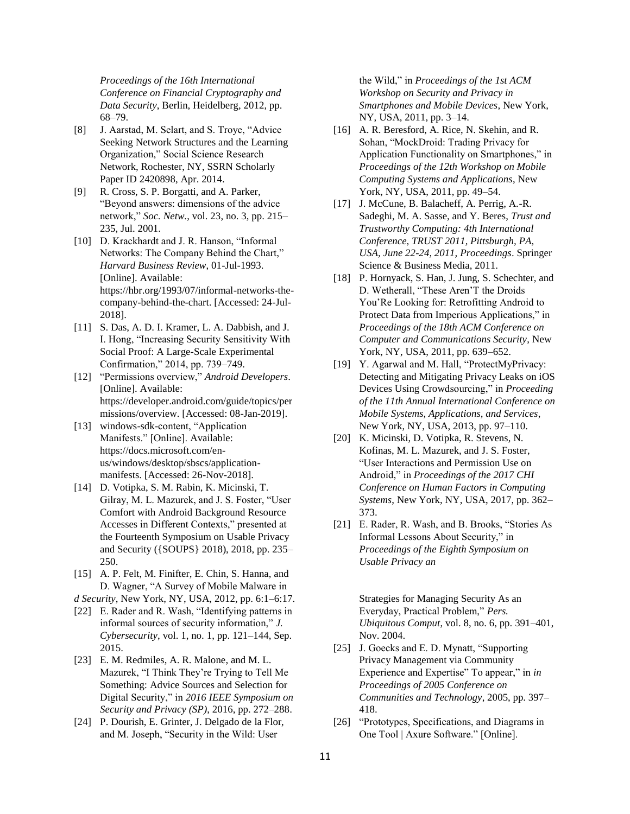*Proceedings of the 16th International Conference on Financial Cryptography and Data Security*, Berlin, Heidelberg, 2012, pp. 68–79.

- [8] J. Aarstad, M. Selart, and S. Troye, "Advice Seeking Network Structures and the Learning Organization," Social Science Research Network, Rochester, NY, SSRN Scholarly Paper ID 2420898, Apr. 2014.
- [9] R. Cross, S. P. Borgatti, and A. Parker, "Beyond answers: dimensions of the advice network," *Soc. Netw.*, vol. 23, no. 3, pp. 215– 235, Jul. 2001.
- [10] D. Krackhardt and J. R. Hanson, "Informal Networks: The Company Behind the Chart," *Harvard Business Review*, 01-Jul-1993. [Online]. Available: https://hbr.org/1993/07/informal-networks-thecompany-behind-the-chart. [Accessed: 24-Jul-2018].
- [11] S. Das, A. D. I. Kramer, L. A. Dabbish, and J. I. Hong, "Increasing Security Sensitivity With Social Proof: A Large-Scale Experimental Confirmation," 2014, pp. 739–749.
- [12] "Permissions overview," *Android Developers*. [Online]. Available: https://developer.android.com/guide/topics/per missions/overview. [Accessed: 08-Jan-2019].
- [13] windows-sdk-content, "Application Manifests." [Online]. Available: https://docs.microsoft.com/enus/windows/desktop/sbscs/applicationmanifests. [Accessed: 26-Nov-2018].
- [14] D. Votipka, S. M. Rabin, K. Micinski, T. Gilray, M. L. Mazurek, and J. S. Foster, "User Comfort with Android Background Resource Accesses in Different Contexts," presented at the Fourteenth Symposium on Usable Privacy and Security ({SOUPS} 2018), 2018, pp. 235– 250.
- [15] A. P. Felt, M. Finifter, E. Chin, S. Hanna, and D. Wagner, "A Survey of Mobile Malware in
- *d Security*, New York, NY, USA, 2012, pp. 6:1–6:17.
- [22] E. Rader and R. Wash, "Identifying patterns in informal sources of security information," *J. Cybersecurity*, vol. 1, no. 1, pp. 121–144, Sep. 2015.
- [23] E. M. Redmiles, A. R. Malone, and M. L. Mazurek, "I Think They're Trying to Tell Me Something: Advice Sources and Selection for Digital Security," in *2016 IEEE Symposium on Security and Privacy (SP)*, 2016, pp. 272–288.
- [24] P. Dourish, E. Grinter, J. Delgado de la Flor, and M. Joseph, "Security in the Wild: User

the Wild," in *Proceedings of the 1st ACM Workshop on Security and Privacy in Smartphones and Mobile Devices*, New York, NY, USA, 2011, pp. 3–14.

- [16] A. R. Beresford, A. Rice, N. Skehin, and R. Sohan, "MockDroid: Trading Privacy for Application Functionality on Smartphones," in *Proceedings of the 12th Workshop on Mobile Computing Systems and Applications*, New York, NY, USA, 2011, pp. 49–54.
- [17] J. McCune, B. Balacheff, A. Perrig, A.-R. Sadeghi, M. A. Sasse, and Y. Beres, *Trust and Trustworthy Computing: 4th International Conference, TRUST 2011, Pittsburgh, PA, USA, June 22-24, 2011, Proceedings*. Springer Science & Business Media, 2011.
- [18] P. Hornyack, S. Han, J. Jung, S. Schechter, and D. Wetherall, "These Aren'T the Droids You'Re Looking for: Retrofitting Android to Protect Data from Imperious Applications," in *Proceedings of the 18th ACM Conference on Computer and Communications Security*, New York, NY, USA, 2011, pp. 639–652.
- [19] Y. Agarwal and M. Hall, "ProtectMyPrivacy: Detecting and Mitigating Privacy Leaks on iOS Devices Using Crowdsourcing," in *Proceeding of the 11th Annual International Conference on Mobile Systems, Applications, and Services*, New York, NY, USA, 2013, pp. 97–110.
- [20] K. Micinski, D. Votipka, R. Stevens, N. Kofinas, M. L. Mazurek, and J. S. Foster, "User Interactions and Permission Use on Android," in *Proceedings of the 2017 CHI Conference on Human Factors in Computing Systems*, New York, NY, USA, 2017, pp. 362– 373.
- [21] E. Rader, R. Wash, and B. Brooks, "Stories As Informal Lessons About Security," in *Proceedings of the Eighth Symposium on Usable Privacy an*

Strategies for Managing Security As an Everyday, Practical Problem," *Pers. Ubiquitous Comput*, vol. 8, no. 6, pp. 391–401, Nov. 2004.

- [25] J. Goecks and E. D. Mynatt, "Supporting" Privacy Management via Community Experience and Expertise" To appear," in *in Proceedings of 2005 Conference on Communities and Technology*, 2005, pp. 397– 418.
- [26] "Prototypes, Specifications, and Diagrams in One Tool | Axure Software." [Online].